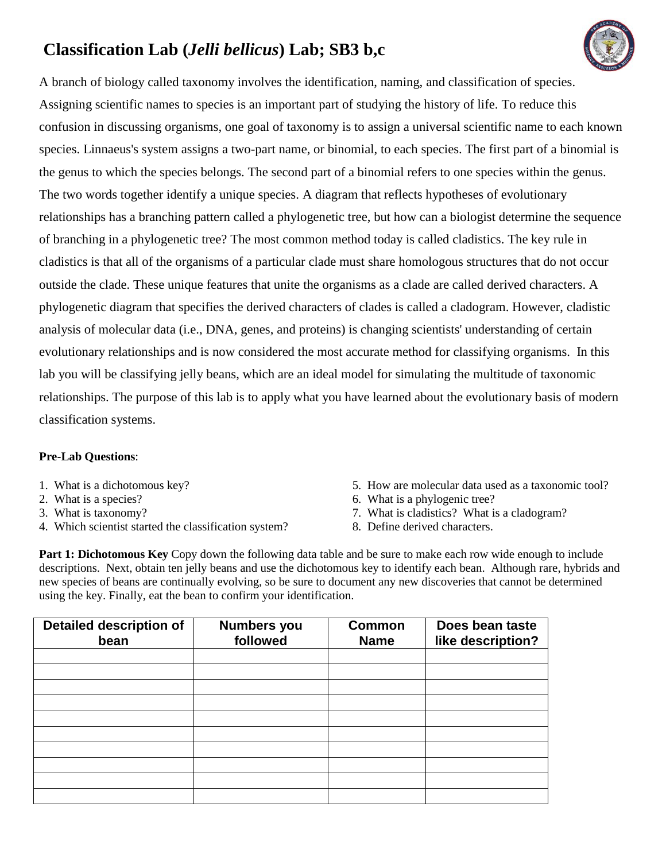# **Classification Lab (***Jelli bellicus***) Lab; SB3 b,c**



A branch of biology called taxonomy involves the identification, naming, and classification of species. Assigning scientific names to species is an important part of studying the history of life. To reduce this confusion in discussing organisms, one goal of taxonomy is to assign a universal scientific name to each known species. Linnaeus's system assigns a two-part name, or binomial, to each species. The first part of a binomial is the genus to which the species belongs. The second part of a binomial refers to one species within the genus. The two words together identify a unique species. A diagram that reflects hypotheses of evolutionary relationships has a branching pattern called a phylogenetic tree, but how can a biologist determine the sequence of branching in a phylogenetic tree? The most common method today is called cladistics. The key rule in cladistics is that all of the organisms of a particular clade must share homologous structures that do not occur outside the clade. These unique features that unite the organisms as a clade are called derived characters. A phylogenetic diagram that specifies the derived characters of clades is called a cladogram. However, cladistic analysis of molecular data (i.e., DNA, genes, and proteins) is changing scientists' understanding of certain evolutionary relationships and is now considered the most accurate method for classifying organisms. In this lab you will be classifying jelly beans, which are an ideal model for simulating the multitude of taxonomic relationships. The purpose of this lab is to apply what you have learned about the evolutionary basis of modern classification systems.

#### **Pre-Lab Questions**:

- 1. What is a dichotomous key?
- 2. What is a species?
- 3. What is taxonomy?
- 4. Which scientist started the classification system?
- 5. How are molecular data used as a taxonomic tool?
- 6. What is a phylogenic tree?
- 7. What is cladistics? What is a cladogram?
- 8. Define derived characters.

**Part 1: Dichotomous Key** Copy down the following data table and be sure to make each row wide enough to include descriptions. Next, obtain ten jelly beans and use the dichotomous key to identify each bean. Although rare, hybrids and new species of beans are continually evolving, so be sure to document any new discoveries that cannot be determined using the key. Finally, eat the bean to confirm your identification.

| <b>Detailed description of</b><br>bean | <b>Numbers you</b><br>followed | <b>Common</b><br><b>Name</b> | Does bean taste<br>like description? |
|----------------------------------------|--------------------------------|------------------------------|--------------------------------------|
|                                        |                                |                              |                                      |
|                                        |                                |                              |                                      |
|                                        |                                |                              |                                      |
|                                        |                                |                              |                                      |
|                                        |                                |                              |                                      |
|                                        |                                |                              |                                      |
|                                        |                                |                              |                                      |
|                                        |                                |                              |                                      |
|                                        |                                |                              |                                      |
|                                        |                                |                              |                                      |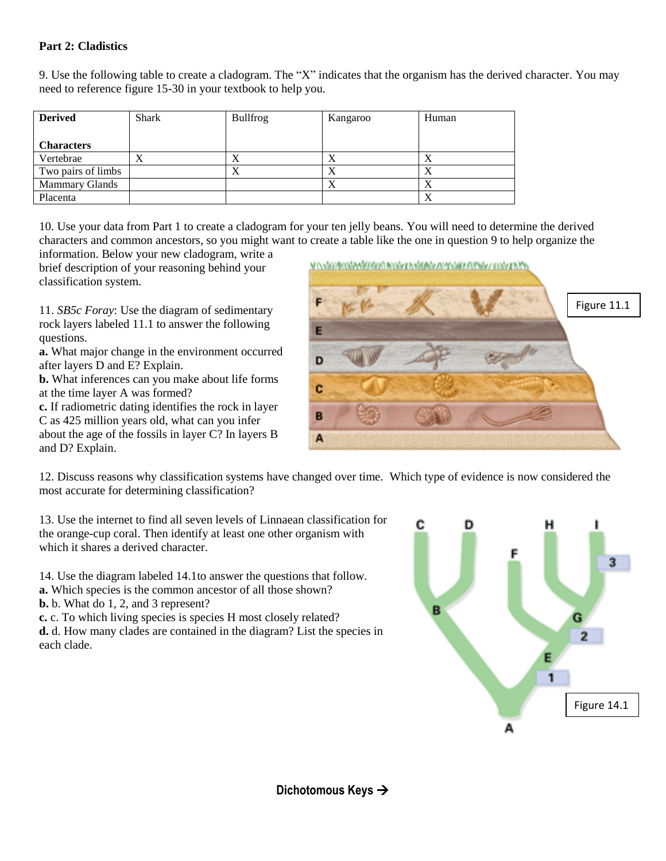#### **Part 2: Cladistics**

9. Use the following table to create a cladogram. The "X" indicates that the organism has the derived character. You may need to reference figure 15-30 in your textbook to help you.

| <b>Derived</b>        | <b>Shark</b> | <b>Bullfrog</b> | Kangaroo | Human |
|-----------------------|--------------|-----------------|----------|-------|
| <b>Characters</b>     |              |                 |          |       |
| Vertebrae             | Х            | л               | X        | Λ     |
| Two pairs of limbs    |              | $\Lambda$       | X        | л     |
| <b>Mammary Glands</b> |              |                 | X        | л     |
| Placenta              |              |                 |          | л     |

10. Use your data from Part 1 to create a cladogram for your ten jelly beans. You will need to determine the derived characters and common ancestors, so you might want to create a table like the one in question 9 to help organize the

information. Below your new cladogram, write a brief description of your reasoning behind your classification system.

11. *SB5c Foray*: Use the diagram of sedimentary rock layers labeled 11.1 to answer the following questions.

**a.** What major change in the environment occurred after layers D and E? Explain.

**b.** What inferences can you make about life forms at the time layer A was formed?

**c.** If radiometric dating identifies the rock in layer C as 425 million years old, what can you infer about the age of the fossils in layer C? In layers B and D? Explain.



12. Discuss reasons why classification systems have changed over time. Which type of evidence is now considered the most accurate for determining classification?

13. Use the internet to find all seven levels of Linnaean classification for the orange-cup coral. Then identify at least one other organism with which it shares a derived character.

14. Use the diagram labeled 14.1to answer the questions that follow. **a.** Which species is the common ancestor of all those shown?

**b.** b. What do 1, 2, and 3 represent?

**c.** c. To which living species is species H most closely related?

**d.** d. How many clades are contained in the diagram? List the species in each clade.



**Dichotomous Keys**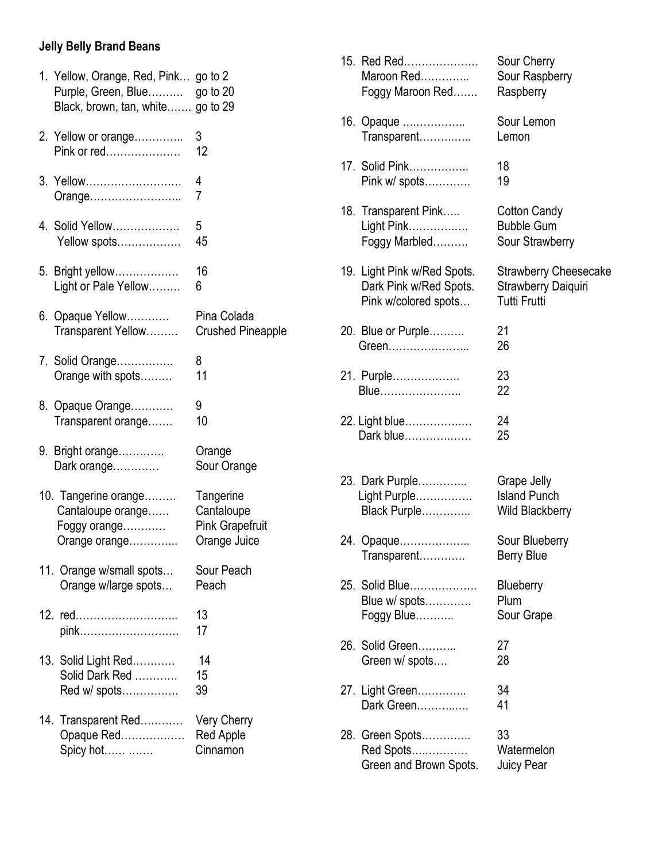### **Jelly Belly Brand Beans**

| 1. Yellow, Orange, Red, Pink go to 2<br>Black, brown, tan, white go to 29  |                                                                   |
|----------------------------------------------------------------------------|-------------------------------------------------------------------|
| 2. Yellow or orange<br>Pink or red                                         | 3<br>12                                                           |
| 3. Yellow<br>Orange                                                        | 4<br>7                                                            |
| 4. Solid Yellow<br>Yellow spots                                            | 5<br>45                                                           |
| 5. Bright yellow<br>Light or Pale Yellow                                   | 16<br>6                                                           |
| 6. Opaque Yellow<br>Transparent Yellow                                     | Pina Colada<br><b>Crushed Pineapple</b>                           |
| 7. Solid Orange<br>Orange with spots                                       | 8<br>11                                                           |
| 8. Opaque Orange<br>Transparent orange                                     | 9<br>10                                                           |
| 9. Bright orange<br>Dark orange                                            | Orange<br>Sour Orange                                             |
| 10. Tangerine orange<br>Cantaloupe orange<br>Foggy orange<br>Orange orange | Tangerine<br>Cantaloupe<br><b>Pink Grapefruit</b><br>Orange Juice |
| 11. Orange w/small spots<br>Orange w/large spots                           | Sour Peach<br>Peach                                               |
| 12. red<br>pink                                                            | 13<br>17                                                          |
| 13. Solid Light Red<br>Solid Dark Red<br>Red w/ spots                      | 14<br>15<br>39                                                    |
| 14. Transparent Red<br>Opaque Red<br>Spicy hot…… …….                       | <b>Very Cherry</b><br><b>Red Apple</b><br>Cinnamon                |

| 15. Red Red<br>Maroon Red<br>Foggy Maroon Red                                 | Sour Cherry<br>Sour Raspberry<br>Raspberry                                 |
|-------------------------------------------------------------------------------|----------------------------------------------------------------------------|
| 16. Opaque<br>Transparent                                                     | Sour Lemon<br>Lemon                                                        |
| 17. Solid Pink<br>Pink w/ spots                                               | 18<br>19                                                                   |
| 18. Transparent Pink<br>Light Pink<br>Foggy Marbled                           | <b>Cotton Candy</b><br><b>Bubble Gum</b><br>Sour Strawberry                |
| 19. Light Pink w/Red Spots.<br>Dark Pink w/Red Spots.<br>Pink w/colored spots | <b>Strawberry Cheesecake</b><br>Strawberry Daiquiri<br><b>Tutti Frutti</b> |
| 20. Blue or Purple<br>Green                                                   | 21<br>26                                                                   |
| 21. Purple<br>Blue                                                            | 23<br>22                                                                   |
| 22. Light blue<br>Dark blue                                                   | 24<br>25                                                                   |
| 23. Dark Purple<br>Light Purple<br>Black Purple                               | Grape Jelly<br><b>Island Punch</b><br><b>Wild Blackberry</b>               |
| 24. Opaque<br>Transparent                                                     | Sour Blueberry<br>Berry Blue                                               |
| 25. Solid Blue<br>Blue w/ spots<br>Foggy Blue                                 | Blueberry<br>Plum<br>Sour Grape                                            |
| 26. Solid Green<br>Green w/ spots                                             | 27<br>28                                                                   |
| 27. Light Green<br>Dark Green                                                 | 34<br>41                                                                   |
| 28. Green Spots<br>Red Spots<br>Green and Brown Spots.                        | 33<br>Watermelon<br>Juicy Pear                                             |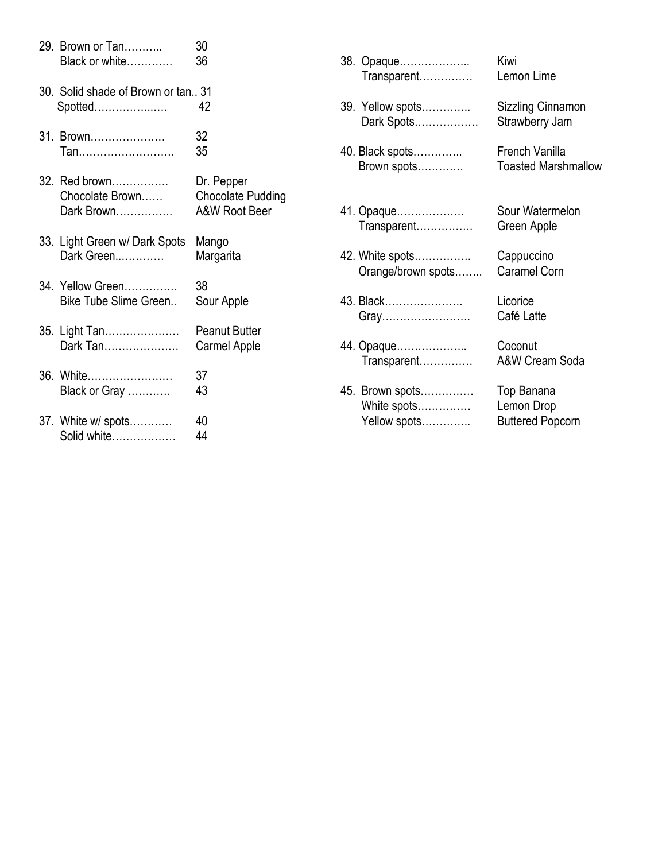|  | 29. Brown or Tan<br>Black or white              | 30<br>36                                                           | 3 |
|--|-------------------------------------------------|--------------------------------------------------------------------|---|
|  | 30. Solid shade of Brown or tan., 31<br>Spotted | 42                                                                 | 3 |
|  | 31. Brown<br>Tan                                | 32<br>35                                                           | 4 |
|  | 32. Red brown<br>Chocolate Brown<br>Dark Brown  | Dr. Pepper<br><b>Chocolate Pudding</b><br><b>A&amp;W Root Beer</b> | 4 |
|  | 33. Light Green w/ Dark Spots<br>Dark Green     | Mango<br>Margarita                                                 | 4 |
|  | 34. Yellow Green<br>Bike Tube Slime Green       | 38<br>Sour Apple                                                   | 4 |
|  | 35. Light Tan<br>Dark Tan                       | <b>Peanut Butter</b><br>Carmel Apple                               | 4 |
|  | 36. White<br>Black or Gray                      | 37<br>43                                                           | 4 |
|  | 37. White w/ spots<br>Solid white               | 40<br>44                                                           |   |

| 38. Opaque         | Kiwi                       |
|--------------------|----------------------------|
| Transparent        | Lemon Lime                 |
| 39. Yellow spots   | Sizzling Cinnamon          |
| Dark Spots         | Strawberry Jam             |
| 40. Black spots    | French Vanilla             |
| Brown spots        | <b>Toasted Marshmallow</b> |
| 41. Opaque         | Sour Watermelon            |
| Transparent        | Green Apple                |
| 42. White spots    | Cappuccino                 |
| Orange/brown spots | Caramel Corn               |
| 43. Black          | Licorice                   |
| Gray               | Café Latte                 |
| 44. Opaque         | Coconut                    |
| Transparent        | <b>A&amp;W Cream Soda</b>  |
| 45. Brown spots    | Top Banana                 |
| White spots        | Lemon Drop                 |
| Yellow spots       | <b>Buttered Popcorn</b>    |